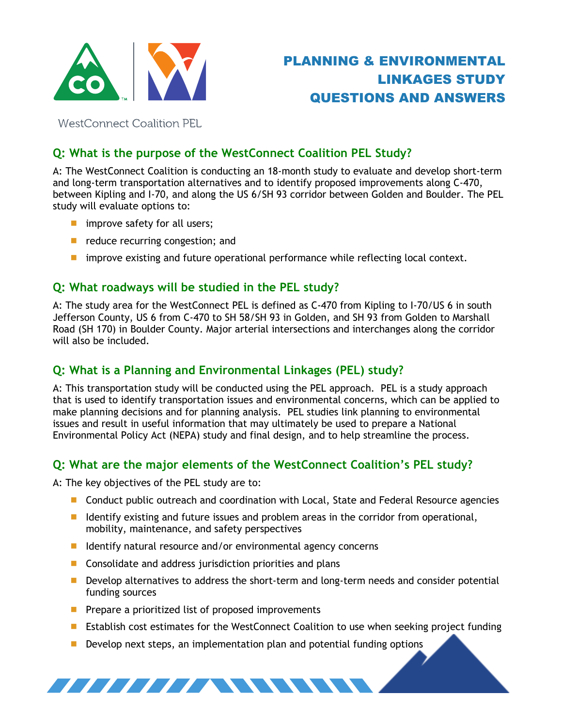

**WestConnect Coalition PEL** 

# **Q: What is the purpose of the WestConnect Coalition PEL Study?**

A: The WestConnect Coalition is conducting an 18-month study to evaluate and develop short-term and long-term transportation alternatives and to identify proposed improvements along C-470, between Kipling and I-70, and along the US 6/SH 93 corridor between Golden and Boulder. The PEL study will evaluate options to:

- **n** improve safety for all users;
- $\blacksquare$  reduce recurring congestion; and
- **I** improve existing and future operational performance while reflecting local context.

## **Q: What roadways will be studied in the PEL study?**

A: The study area for the WestConnect PEL is defined as C-470 from Kipling to I-70/US 6 in south Jefferson County, US 6 from C-470 to SH 58/SH 93 in Golden, and SH 93 from Golden to Marshall Road (SH 170) in Boulder County. Major arterial intersections and interchanges along the corridor will also be included.

# **Q: What is a Planning and Environmental Linkages (PEL) study?**

A: This transportation study will be conducted using the PEL approach. PEL is a study approach that is used to identify transportation issues and environmental concerns, which can be applied to make planning decisions and for planning analysis. PEL studies link planning to environmental issues and result in useful information that may ultimately be used to prepare a National Environmental Policy Act (NEPA) study and final design, and to help streamline the process.

## **Q: What are the major elements of the WestConnect Coalition's PEL study?**

A: The key objectives of the PEL study are to:

- **D** Conduct public outreach and coordination with Local, State and Federal Resource agencies
- I Identify existing and future issues and problem areas in the corridor from operational, mobility, maintenance, and safety perspectives
- I Identify natural resource and/or environmental agency concerns
- Consolidate and address jurisdiction priorities and plans
- **Develop alternatives to address the short-term and long-term needs and consider potential** funding sources
- $\blacksquare$  Prepare a prioritized list of proposed improvements

*IIIIIIIIIIIIIIIIIIIIIII* 

- Establish cost estimates for the WestConnect Coalition to use when seeking project funding
- Develop next steps, an implementation plan and potential funding options